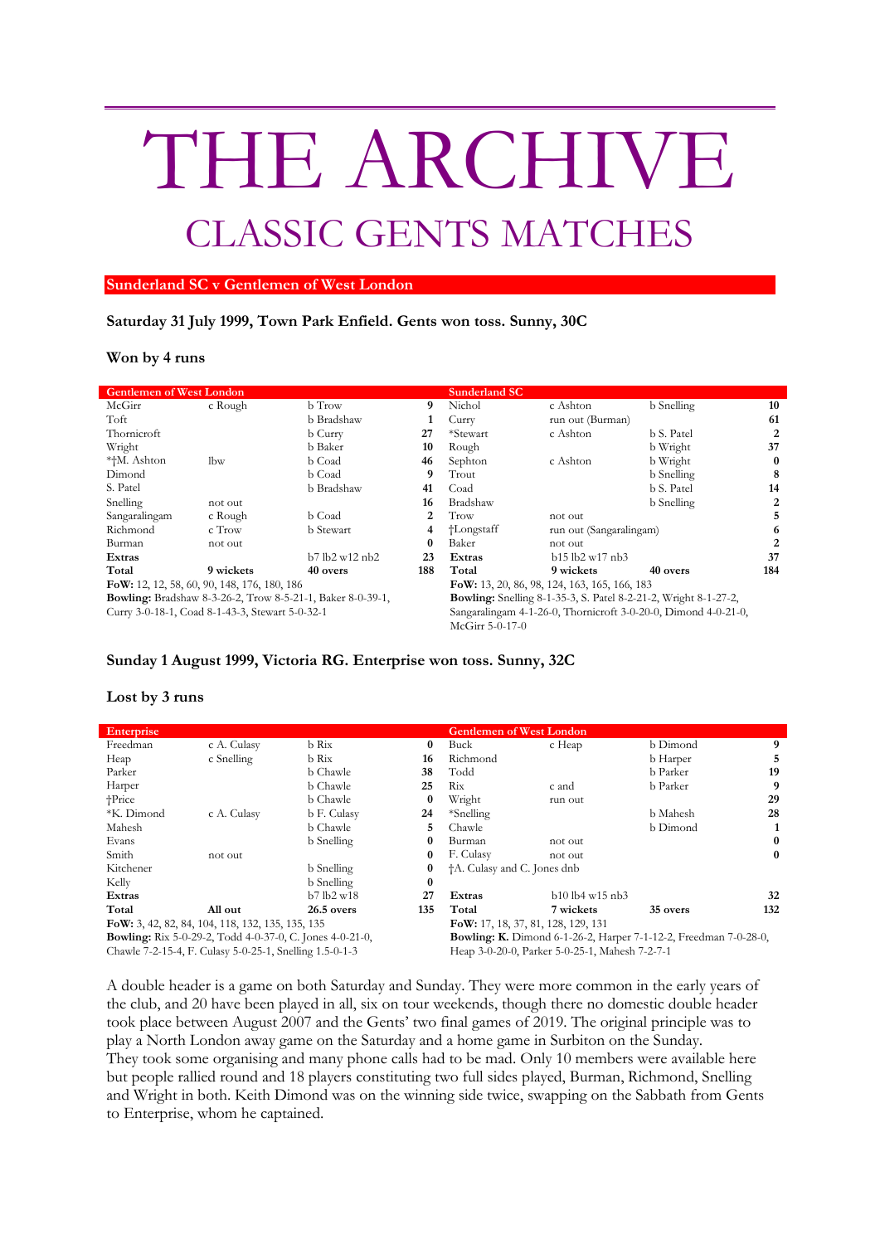# THE ARCHIVE CLASSIC GENTS MATCHES

#### **Sunderland SC v Gentlemen of West London**

## **Saturday 31 July 1999, Town Park Enfield. Gents won toss. Sunny, 30C**

### **Won by 4 runs**

| <b>Gentlemen of West London</b>                                   |           |                  |        | <b>Sunderland SC</b>                                                   |                         |            |          |  |
|-------------------------------------------------------------------|-----------|------------------|--------|------------------------------------------------------------------------|-------------------------|------------|----------|--|
| McGirr                                                            | c Rough   | b Trow           | 9      | Nichol                                                                 | c Ashton                | b Snelling | 10       |  |
| Toft                                                              |           | b Bradshaw       |        | Curry                                                                  | run out (Burman)        |            | 61       |  |
| Thornicroft                                                       |           | b Curry          | 27     | *Stewart                                                               | c Ashton                | b S. Patel | 2        |  |
| Wright                                                            |           | b Baker          | 10     | Rough                                                                  |                         | b Wright   | 37       |  |
| *†M. Ashton                                                       | lbw       | b Coad           | 46     | Sephton                                                                | c Ashton                | b Wright   | $\bf{0}$ |  |
| Dimond                                                            |           | b Coad           | 9      | Trout                                                                  |                         | b Snelling | 8        |  |
| S. Patel                                                          |           | b Bradshaw       | 41     | Coad                                                                   |                         | b S. Patel | 14       |  |
| Snelling                                                          | not out   |                  | 16     | Bradshaw                                                               |                         | b Snelling | 2        |  |
| Sangaralingam                                                     | c Rough   | b Coad           | 2      | Trow                                                                   | not out                 |            | 5        |  |
| Richmond                                                          | $c$ Trow  | <b>b</b> Stewart | 4      | †Longstaff                                                             | run out (Sangaralingam) |            | 6        |  |
| Burman                                                            | not out   |                  | 0      | Baker                                                                  | not out                 |            | 2        |  |
| b7 lb2 w12 nb2<br>Extras                                          |           | 23               | Extras | b15 lb2 w17 nb3                                                        |                         | 37         |          |  |
| Total                                                             | 9 wickets | 40 overs         | 188    | Total                                                                  | 9 wickets               | 40 overs   | 184      |  |
| FoW: 12, 12, 58, 60, 90, 148, 176, 180, 186                       |           |                  |        | FoW: 13, 20, 86, 98, 124, 163, 165, 166, 183                           |                         |            |          |  |
| <b>Bowling:</b> Bradshaw 8-3-26-2, Trow 8-5-21-1, Baker 8-0-39-1, |           |                  |        | <b>Bowling:</b> Snelling 8-1-35-3, S. Patel 8-2-21-2, Wright 8-1-27-2, |                         |            |          |  |
| Curry 3-0-18-1, Coad 8-1-43-3, Stewart 5-0-32-1                   |           |                  |        | Sangaralingam 4-1-26-0, Thornicroft 3-0-20-0, Dimond 4-0-21-0,         |                         |            |          |  |
|                                                                   |           |                  |        | McGirr 5-0-17-0                                                        |                         |            |          |  |

## **Sunday 1 August 1999, Victoria RG. Enterprise won toss. Sunny, 32C**

## **Lost by 3 runs**

| <b>Enterprise</b>                                               |                 |              |          | <b>Gentlemen of West London</b>                                         |                   |          |          |
|-----------------------------------------------------------------|-----------------|--------------|----------|-------------------------------------------------------------------------|-------------------|----------|----------|
| Freedman                                                        | c A. Culasy     | b Rix        | 0        | Buck                                                                    | c Heap            | b Dimond | 9        |
| Heap                                                            | c Snelling      | b Rix        | 16       | Richmond                                                                |                   | b Harper | 5        |
| Parker                                                          |                 | b Chawle     | 38       | Todd                                                                    |                   | b Parker | 19       |
| Harper                                                          |                 | b Chawle     | 25       | Rix                                                                     | c and             | b Parker | 9        |
| $+Price$                                                        |                 | b Chawle     | $\bf{0}$ | Wright                                                                  | run out           |          | 29       |
| *K. Dimond                                                      | c A. Culasy     | b F. Culasy  | 24       | *Snelling                                                               |                   | b Mahesh | 28       |
| Mahesh                                                          |                 | b Chawle     | 5.       | Chawle                                                                  |                   | b Dimond |          |
| Evans                                                           |                 | b Snelling   | 0        | Burman                                                                  | not out           |          | 0        |
| Smith                                                           | not out         |              | 0        | F. Culasy                                                               | not out           |          | $\bf{0}$ |
| Kitchener                                                       | 0<br>b Snelling |              |          | <sup>†</sup> A. Culasy and C. Jones dnb                                 |                   |          |          |
| Kelly                                                           |                 | b Snelling   | $\bf{0}$ |                                                                         |                   |          |          |
| Extras                                                          |                 | b7lb2w18     | 27       | Extras                                                                  | $b10$ lb4 w15 nb3 |          | 32       |
| Total                                                           | All out         | $26.5$ overs | 135      | Total                                                                   | 7 wickets         | 35 overs | 132      |
| FoW: 3, 42, 82, 84, 104, 118, 132, 135, 135, 135                |                 |              |          | FoW: 17, 18, 37, 81, 128, 129, 131                                      |                   |          |          |
| <b>Bowling:</b> Rix 5-0-29-2, Todd 4-0-37-0, C. Jones 4-0-21-0, |                 |              |          | <b>Bowling: K.</b> Dimond 6-1-26-2, Harper 7-1-12-2, Freedman 7-0-28-0, |                   |          |          |
| Chawle 7-2-15-4, F. Culasy 5-0-25-1, Snelling 1.5-0-1-3         |                 |              |          | Heap 3-0-20-0, Parker 5-0-25-1, Mahesh 7-2-7-1                          |                   |          |          |

A double header is a game on both Saturday and Sunday. They were more common in the early years of the club, and 20 have been played in all, six on tour weekends, though there no domestic double header took place between August 2007 and the Gents' two final games of 2019. The original principle was to play a North London away game on the Saturday and a home game in Surbiton on the Sunday. They took some organising and many phone calls had to be mad. Only 10 members were available here but people rallied round and 18 players constituting two full sides played, Burman, Richmond, Snelling and Wright in both. Keith Dimond was on the winning side twice, swapping on the Sabbath from Gents to Enterprise, whom he captained.